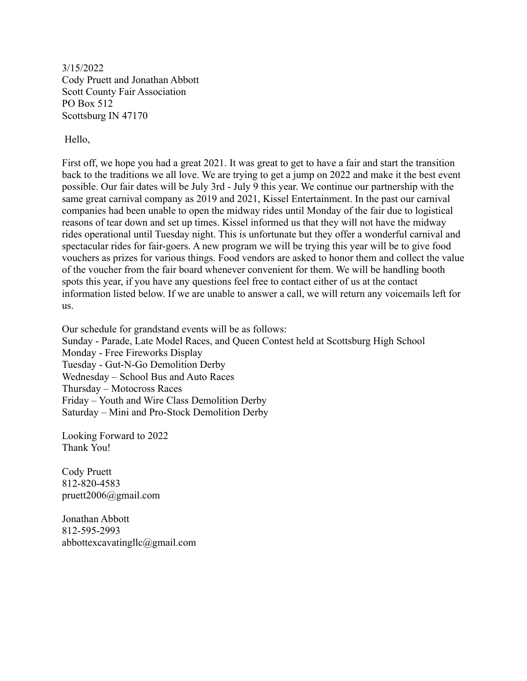3/15/2022 Cody Pruett and Jonathan Abbott Scott County Fair Association PO Box 512 Scottsburg IN 47170

Hello,

First off, we hope you had a great 2021. It was great to get to have a fair and start the transition back to the traditions we all love. We are trying to get a jump on 2022 and make it the best event possible. Our fair dates will be July 3rd - July 9 this year. We continue our partnership with the same great carnival company as 2019 and 2021, Kissel Entertainment. In the past our carnival companies had been unable to open the midway rides until Monday of the fair due to logistical reasons of tear down and set up times. Kissel informed us that they will not have the midway rides operational until Tuesday night. This is unfortunate but they offer a wonderful carnival and spectacular rides for fair-goers. A new program we will be trying this year will be to give food vouchers as prizes for various things. Food vendors are asked to honor them and collect the value of the voucher from the fair board whenever convenient for them. We will be handling booth spots this year, if you have any questions feel free to contact either of us at the contact information listed below. If we are unable to answer a call, we will return any voicemails left for us.

Our schedule for grandstand events will be as follows: Sunday - Parade, Late Model Races, and Queen Contest held at Scottsburg High School Monday - Free Fireworks Display Tuesday - Gut-N-Go Demolition Derby Wednesday – School Bus and Auto Races Thursday – Motocross Races Friday – Youth and Wire Class Demolition Derby Saturday – Mini and Pro-Stock Demolition Derby

Looking Forward to 2022 Thank You!

Cody Pruett 812-820-4583 pruett2006@gmail.com

Jonathan Abbott 812-595-2993 abbottexcavatingllc@gmail.com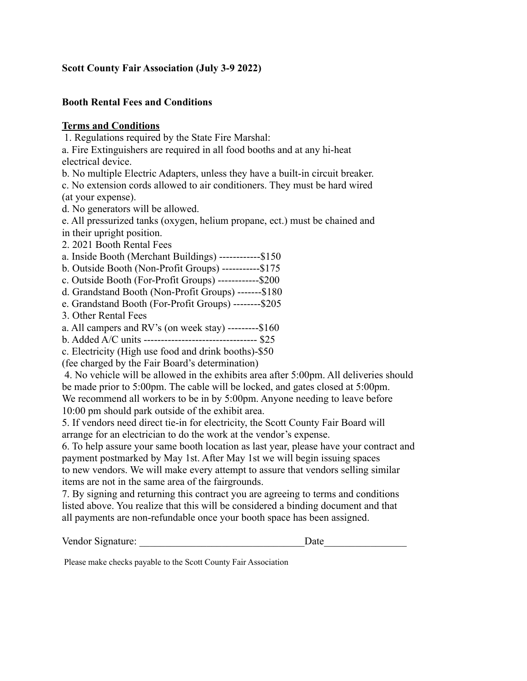## **Scott County Fair Association (July 3-9 2022)**

## **Booth Rental Fees and Conditions**

## **Terms and Conditions**

1. Regulations required by the State Fire Marshal:

a. Fire Extinguishers are required in all food booths and at any hi-heat electrical device.

b. No multiple Electric Adapters, unless they have a built-in circuit breaker.

c. No extension cords allowed to air conditioners. They must be hard wired (at your expense).

d. No generators will be allowed.

e. All pressurized tanks (oxygen, helium propane, ect.) must be chained and in their upright position.

2. 2021 Booth Rental Fees

a. Inside Booth (Merchant Buildings) ------------\$150

b. Outside Booth (Non-Profit Groups) -----------\$175

c. Outside Booth (For-Profit Groups) ------------\$200

d. Grandstand Booth (Non-Profit Groups) -------\$180

e. Grandstand Booth (For-Profit Groups) --------\$205

3. Other Rental Fees

a. All campers and RV's (on week stay) ---------\$160

b. Added A/C units --------------------------------- \$25

c. Electricity (High use food and drink booths)-\$50

(fee charged by the Fair Board's determination)

4. No vehicle will be allowed in the exhibits area after 5:00pm. All deliveries should be made prior to 5:00pm. The cable will be locked, and gates closed at 5:00pm.

We recommend all workers to be in by 5:00pm. Anyone needing to leave before 10:00 pm should park outside of the exhibit area.

5. If vendors need direct tie-in for electricity, the Scott County Fair Board will arrange for an electrician to do the work at the vendor's expense.

6. To help assure your same booth location as last year, please have your contract and payment postmarked by May 1st. After May 1st we will begin issuing spaces to new vendors. We will make every attempt to assure that vendors selling similar items are not in the same area of the fairgrounds.

7. By signing and returning this contract you are agreeing to terms and conditions listed above. You realize that this will be considered a binding document and that all payments are non-refundable once your booth space has been assigned.

Vendor Signature: \_\_\_\_\_\_\_\_\_\_\_\_\_\_\_\_\_\_\_\_\_\_\_\_\_\_\_\_\_\_\_\_Date\_\_\_\_\_\_\_\_\_\_\_\_\_\_\_\_

Please make checks payable to the Scott County Fair Association